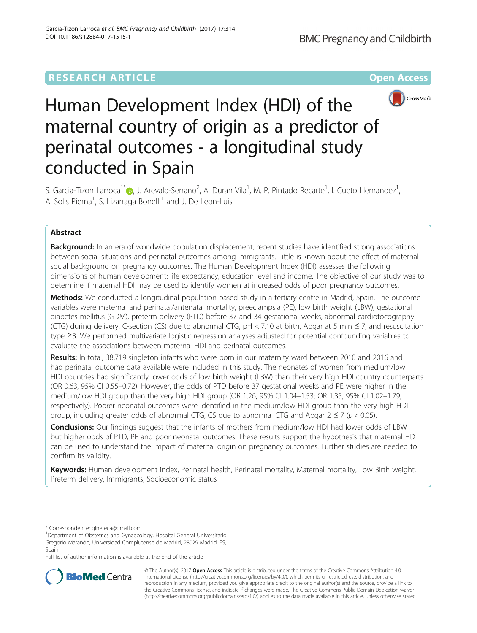## **RESEARCH ARTICLE Example 2014 12:30 The Community Community Community Community Community Community Community**



# Human Development Index (HDI) of the maternal country of origin as a predictor of perinatal outcomes - a longitudinal study conducted in Spain

S. Garcia-Tizon Larroca<sup>1[\\*](http://orcid.org/0000-0003-0520-1170)</sup>®, J. Arevalo-Serrano<sup>2</sup>, A. Duran Vila<sup>1</sup>, M. P. Pintado Recarte<sup>1</sup>, I. Cueto Hernandez<sup>1</sup> , A. Solis Pierna<sup>1</sup>, S. Lizarraga Bonelli<sup>1</sup> and J. De Leon-Luis<sup>1</sup>

## Abstract

**Background:** In an era of worldwide population displacement, recent studies have identified strong associations between social situations and perinatal outcomes among immigrants. Little is known about the effect of maternal social background on pregnancy outcomes. The Human Development Index (HDI) assesses the following dimensions of human development: life expectancy, education level and income. The objective of our study was to determine if maternal HDI may be used to identify women at increased odds of poor pregnancy outcomes.

Methods: We conducted a longitudinal population-based study in a tertiary centre in Madrid, Spain. The outcome variables were maternal and perinatal/antenatal mortality, preeclampsia (PE), low birth weight (LBW), gestational diabetes mellitus (GDM), preterm delivery (PTD) before 37 and 34 gestational weeks, abnormal cardiotocography (CTG) during delivery, C-section (CS) due to abnormal CTG, pH < 7.10 at birth, Apgar at 5 min ≤ 7, and resuscitation type ≥3. We performed multivariate logistic regression analyses adjusted for potential confounding variables to evaluate the associations between maternal HDI and perinatal outcomes.

Results: In total, 38,719 singleton infants who were born in our maternity ward between 2010 and 2016 and had perinatal outcome data available were included in this study. The neonates of women from medium/low HDI countries had significantly lower odds of low birth weight (LBW) than their very high HDI country counterparts (OR 0.63, 95% CI 0.55–0.72). However, the odds of PTD before 37 gestational weeks and PE were higher in the medium/low HDI group than the very high HDI group (OR 1.26, 95% CI 1.04–1.53; OR 1.35, 95% CI 1.02–1.79, respectively). Poorer neonatal outcomes were identified in the medium/low HDI group than the very high HDI group, including greater odds of abnormal CTG, CS due to abnormal CTG and Apgar  $2 \le 7$  ( $p < 0.05$ ).

**Conclusions:** Our findings suggest that the infants of mothers from medium/low HDI had lower odds of LBW but higher odds of PTD, PE and poor neonatal outcomes. These results support the hypothesis that maternal HDI can be used to understand the impact of maternal origin on pregnancy outcomes. Further studies are needed to confirm its validity.

Keywords: Human development index, Perinatal health, Perinatal mortality, Maternal mortality, Low Birth weight, Preterm delivery, Immigrants, Socioeconomic status

<sup>1</sup>Department of Obstetrics and Gynaecology, Hospital General Universitario Gregorio Marañón, Universidad Complutense de Madrid, 28029 Madrid, ES, Spain

Full list of author information is available at the end of the article



© The Author(s). 2017 **Open Access** This article is distributed under the terms of the Creative Commons Attribution 4.0 International License [\(http://creativecommons.org/licenses/by/4.0/](http://creativecommons.org/licenses/by/4.0/)), which permits unrestricted use, distribution, and reproduction in any medium, provided you give appropriate credit to the original author(s) and the source, provide a link to the Creative Commons license, and indicate if changes were made. The Creative Commons Public Domain Dedication waiver [\(http://creativecommons.org/publicdomain/zero/1.0/](http://creativecommons.org/publicdomain/zero/1.0/)) applies to the data made available in this article, unless otherwise stated.

<sup>\*</sup> Correspondence: [gineteca@gmail.com](mailto:gineteca@gmail.com) <sup>1</sup>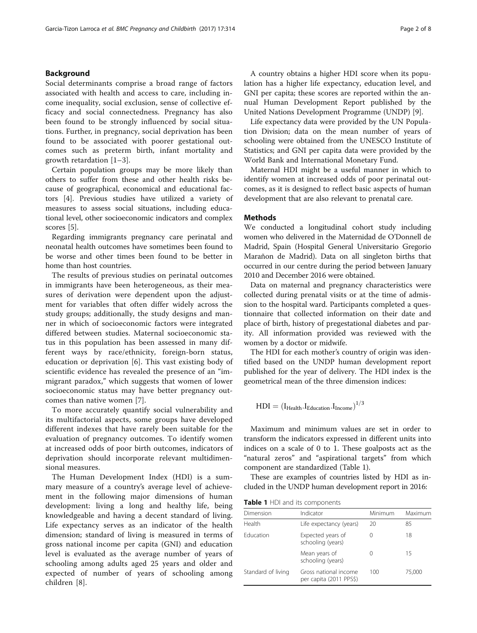#### Background

Social determinants comprise a broad range of factors associated with health and access to care, including income inequality, social exclusion, sense of collective efficacy and social connectedness. Pregnancy has also been found to be strongly influenced by social situations. Further, in pregnancy, social deprivation has been found to be associated with poorer gestational outcomes such as preterm birth, infant mortality and growth retardation [\[1](#page-6-0)–[3](#page-6-0)].

Certain population groups may be more likely than others to suffer from these and other health risks because of geographical, economical and educational factors [\[4](#page-6-0)]. Previous studies have utilized a variety of measures to assess social situations, including educational level, other socioeconomic indicators and complex scores [[5\]](#page-6-0).

Regarding immigrants pregnancy care perinatal and neonatal health outcomes have sometimes been found to be worse and other times been found to be better in home than host countries.

The results of previous studies on perinatal outcomes in immigrants have been heterogeneous, as their measures of derivation were dependent upon the adjustment for variables that often differ widely across the study groups; additionally, the study designs and manner in which of socioeconomic factors were integrated differed between studies. Maternal socioeconomic status in this population has been assessed in many different ways by race/ethnicity, foreign-born status, education or deprivation [\[6](#page-6-0)]. This vast existing body of scientific evidence has revealed the presence of an "immigrant paradox," which suggests that women of lower socioeconomic status may have better pregnancy outcomes than native women [[7](#page-6-0)].

To more accurately quantify social vulnerability and its multifactorial aspects, some groups have developed different indexes that have rarely been suitable for the evaluation of pregnancy outcomes. To identify women at increased odds of poor birth outcomes, indicators of deprivation should incorporate relevant multidimensional measures.

The Human Development Index (HDI) is a summary measure of a country's average level of achievement in the following major dimensions of human development: living a long and healthy life, being knowledgeable and having a decent standard of living. Life expectancy serves as an indicator of the health dimension; standard of living is measured in terms of gross national income per capita (GNI) and education level is evaluated as the average number of years of schooling among adults aged 25 years and older and expected of number of years of schooling among children [\[8](#page-6-0)].

A country obtains a higher HDI score when its population has a higher life expectancy, education level, and GNI per capita; these scores are reported within the annual Human Development Report published by the United Nations Development Programme (UNDP) [[9](#page-6-0)].

Life expectancy data were provided by the UN Population Division; data on the mean number of years of schooling were obtained from the UNESCO Institute of Statistics; and GNI per capita data were provided by the World Bank and International Monetary Fund.

Maternal HDI might be a useful manner in which to identify women at increased odds of poor perinatal outcomes, as it is designed to reflect basic aspects of human development that are also relevant to prenatal care.

#### **Methods**

We conducted a longitudinal cohort study including women who delivered in the Maternidad de O'Donnell de Madrid, Spain (Hospital General Universitario Gregorio Marañon de Madrid). Data on all singleton births that occurred in our centre during the period between January 2010 and December 2016 were obtained.

Data on maternal and pregnancy characteristics were collected during prenatal visits or at the time of admission to the hospital ward. Participants completed a questionnaire that collected information on their date and place of birth, history of pregestational diabetes and parity. All information provided was reviewed with the women by a doctor or midwife.

The HDI for each mother's country of origin was identified based on the UNDP human development report published for the year of delivery. The HDI index is the geometrical mean of the three dimension indices:

$$
HDI = (I_{Health}.I_{Education}.I_{Income})^{1/3}
$$

Maximum and minimum values are set in order to transform the indicators expressed in different units into indices on a scale of 0 to 1. These goalposts act as the "natural zeros" and "aspirational targets" from which component are standardized (Table 1).

These are examples of countries listed by HDI as included in the UNDP human development report in 2016:

Table 1 HDI and its components

| Dimension          | Indicator                                        | Minimum | Maximum |
|--------------------|--------------------------------------------------|---------|---------|
| Health             | Life expectancy (years)                          | 20      | 85      |
| <b>Education</b>   | Expected years of<br>schooling (years)           |         | 18      |
|                    | Mean years of<br>schooling (years)               | 0       | 15      |
| Standard of living | Gross national income<br>per capita (2011 PPS\$) | 100     | 75,000  |
|                    |                                                  |         |         |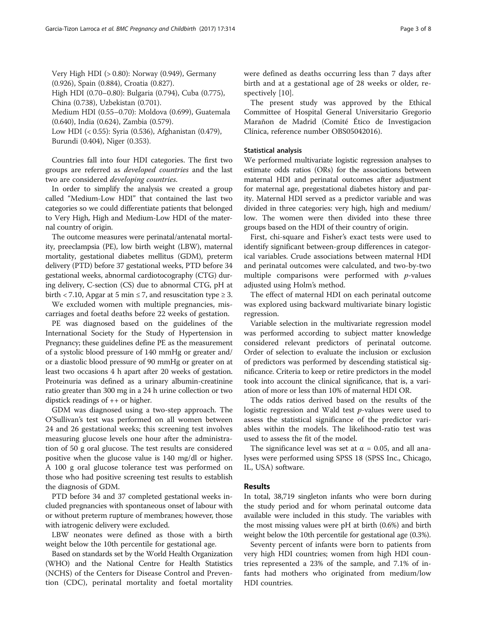Very High HDI (> 0.80): Norway (0.949), Germany (0.926), Spain (0.884), Croatia (0.827). High HDI (0.70–0.80): Bulgaria (0.794), Cuba (0.775), China (0.738), Uzbekistan (0.701). Medium HDI (0.55–0.70): Moldova (0.699), Guatemala (0.640), India (0.624), Zambia (0.579). Low HDI (< 0.55): Syria (0.536), Afghanistan (0.479), Burundi (0.404), Niger (0.353).

Countries fall into four HDI categories. The first two groups are referred as developed countries and the last two are considered developing countries.

In order to simplify the analysis we created a group called "Medium-Low HDI" that contained the last two categories so we could differentiate patients that belonged to Very High, High and Medium-Low HDI of the maternal country of origin.

The outcome measures were perinatal/antenatal mortality, preeclampsia (PE), low birth weight (LBW), maternal mortality, gestational diabetes mellitus (GDM), preterm delivery (PTD) before 37 gestational weeks, PTD before 34 gestational weeks, abnormal cardiotocography (CTG) during delivery, C-section (CS) due to abnormal CTG, pH at birth < 7.10, Apgar at 5 min  $\leq$  7, and resuscitation type  $\geq$  3.

We excluded women with multiple pregnancies, miscarriages and foetal deaths before 22 weeks of gestation.

PE was diagnosed based on the guidelines of the International Society for the Study of Hypertension in Pregnancy; these guidelines define PE as the measurement of a systolic blood pressure of 140 mmHg or greater and/ or a diastolic blood pressure of 90 mmHg or greater on at least two occasions 4 h apart after 20 weeks of gestation. Proteinuria was defined as a urinary albumin-creatinine ratio greater than 300 mg in a 24 h urine collection or two dipstick readings of ++ or higher.

GDM was diagnosed using a two-step approach. The O'Sullivan's test was performed on all women between 24 and 26 gestational weeks; this screening test involves measuring glucose levels one hour after the administration of 50 g oral glucose. The test results are considered positive when the glucose value is 140 mg/dl or higher. A 100 g oral glucose tolerance test was performed on those who had positive screening test results to establish the diagnosis of GDM.

PTD before 34 and 37 completed gestational weeks included pregnancies with spontaneous onset of labour with or without preterm rupture of membranes; however, those with iatrogenic delivery were excluded.

LBW neonates were defined as those with a birth weight below the 10th percentile for gestational age.

Based on standards set by the World Health Organization (WHO) and the National Centre for Health Statistics (NCHS) of the Centers for Disease Control and Prevention (CDC), perinatal mortality and foetal mortality were defined as deaths occurring less than 7 days after birth and at a gestational age of 28 weeks or older, re-spectively [\[10](#page-6-0)].

The present study was approved by the Ethical Committee of Hospital General Universitario Gregorio Marañon de Madrid (Comité Ético de Investigacion Clínica, reference number OBS05042016).

#### Statistical analysis

We performed multivariate logistic regression analyses to estimate odds ratios (ORs) for the associations between maternal HDI and perinatal outcomes after adjustment for maternal age, pregestational diabetes history and parity. Maternal HDI served as a predictor variable and was divided in three categories: very high, high and medium/ low. The women were then divided into these three groups based on the HDI of their country of origin.

First, chi-square and Fisher's exact tests were used to identify significant between-group differences in categorical variables. Crude associations between maternal HDI and perinatal outcomes were calculated, and two-by-two multiple comparisons were performed with  $p$ -values adjusted using Holm's method.

The effect of maternal HDI on each perinatal outcome was explored using backward multivariate binary logistic regression.

Variable selection in the multivariate regression model was performed according to subject matter knowledge considered relevant predictors of perinatal outcome. Order of selection to evaluate the inclusion or exclusion of predictors was performed by descending statistical significance. Criteria to keep or retire predictors in the model took into account the clinical significance, that is, a variation of more or less than 10% of maternal HDI OR.

The odds ratios derived based on the results of the logistic regression and Wald test p-values were used to assess the statistical significance of the predictor variables within the models. The likelihood-ratio test was used to assess the fit of the model.

The significance level was set at  $\alpha$  = 0.05, and all analyses were performed using SPSS 18 (SPSS Inc., Chicago, IL, USA) software.

#### Results

In total, 38,719 singleton infants who were born during the study period and for whom perinatal outcome data available were included in this study. The variables with the most missing values were pH at birth (0.6%) and birth weight below the 10th percentile for gestational age (0.3%).

Seventy percent of infants were born to patients from very high HDI countries; women from high HDI countries represented a 23% of the sample, and 7.1% of infants had mothers who originated from medium/low HDI countries.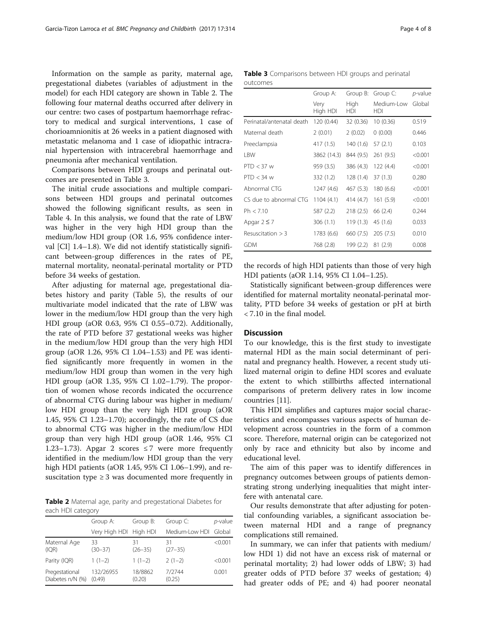Information on the sample as parity, maternal age, pregestational diabetes (variables of adjustment in the model) for each HDI category are shown in Table 2. The following four maternal deaths occurred after delivery in our centre: two cases of postpartum haemorrhage refractory to medical and surgical interventions, 1 case of chorioamnionitis at 26 weeks in a patient diagnosed with metastatic melanoma and 1 case of idiopathic intracranial hypertension with intracerebral haemorrhage and pneumonia after mechanical ventilation.

Comparisons between HDI groups and perinatal outcomes are presented in Table 3.

The initial crude associations and multiple comparisons between HDI groups and perinatal outcomes showed the following significant results, as seen in Table [4](#page-4-0). In this analysis, we found that the rate of LBW was higher in the very high HDI group than the medium/low HDI group (OR 1.6, 95% confidence interval [CI] 1.4–1.8). We did not identify statistically significant between-group differences in the rates of PE, maternal mortality, neonatal-perinatal mortality or PTD before 34 weeks of gestation.

After adjusting for maternal age, pregestational diabetes history and parity (Table [5\)](#page-5-0), the results of our multivariate model indicated that the rate of LBW was lower in the medium/low HDI group than the very high HDI group (aOR 0.63, 95% CI 0.55–0.72). Additionally, the rate of PTD before 37 gestational weeks was higher in the medium/low HDI group than the very high HDI group (aOR 1.26, 95% CI 1.04–1.53) and PE was identified significantly more frequently in women in the medium/low HDI group than women in the very high HDI group (aOR 1.35, 95% CI 1.02–1.79). The proportion of women whose records indicated the occurrence of abnormal CTG during labour was higher in medium/ low HDI group than the very high HDI group (aOR 1.45, 95% CI 1.23–1.70); accordingly, the rate of CS due to abnormal CTG was higher in the medium/low HDI group than very high HDI group (aOR 1.46, 95% CI 1.23–1.73). Apgar 2 scores  $\leq$  7 were more frequently identified in the medium/low HDI group than the very high HDI patients (aOR 1.45, 95% CI 1.06–1.99), and resuscitation type  $\geq 3$  was documented more frequently in

Table 2 Maternal age, parity and pregestational Diabetes for each HDI category

|                                    | Group A:               | Group B:          | Group C:         | p-value |  |
|------------------------------------|------------------------|-------------------|------------------|---------|--|
|                                    | Very High HDI High HDI |                   | Medium-Low HDI   | Global  |  |
| Maternal Age<br>(IQR)              | 33<br>$(30 - 37)$      | 31<br>$(26 - 35)$ | 31<br>$(27-35)$  | < 0.001 |  |
| Parity (IQR)                       | $1(1-2)$               | $1(1-2)$          | $2(1-2)$         | < 0.001 |  |
| Pregestational<br>Diabetes n/N (%) | 132/26955<br>(0.49)    | 18/8862<br>(0.20) | 7/2744<br>(0.25) | 0.001   |  |

Table 3 Comparisons between HDI groups and perinatal outcomes

|                           | Group A:         |             | Group B: Group C: | p-value |
|---------------------------|------------------|-------------|-------------------|---------|
|                           | Very<br>High HDI | High<br>HDI | Medium-Low<br>HDI | Global  |
| Perinatal/antenatal death | 120 (0.44)       | 32 (0.36)   | 10(0.36)          | 0.519   |
| Maternal death            | 2(0.01)          | 2(0.02)     | 0(0.00)           | 0.446   |
| Preeclampsia              | 417 (1.5)        | 140(1.6)    | 57(2.1)           | 0.103   |
| LBW                       | 3862 (14.3)      | 844 (9.5)   | 261(9.5)          | < 0.001 |
| $PTD < 37$ w              | 959 (3.5)        | 386 (4.3)   | 122 (4.4)         | < 0.001 |
| $PTD < 34$ w              | 332 (1.2)        | 128(1.4)    | 37(1.3)           | 0.280   |
| Abnormal CTG              | 1247 (4.6)       | 467 (5.3)   | 180 (6.6)         | < 0.001 |
| CS due to abnormal CTG    | 1104(4.1)        | 414 (4.7)   | 161(5.9)          | < 0.001 |
| Ph < 7.10                 | 587 (2.2)        | 218(2.5)    | 66 (2.4)          | 0.244   |
| Apgar $2 \leq 7$          | 306(1.1)         | 119(1.3)    | 45 (1.6)          | 0.033   |
| Resuscitation $>$ 3       | 1783 (6.6)       | 660 (7.5)   | 205(7.5)          | 0.010   |
| <b>GDM</b>                | 768 (2.8)        | 199 (2.2)   | 81(2.9)           | 0.008   |

the records of high HDI patients than those of very high HDI patients (aOR 1.14, 95% CI 1.04–1.25).

Statistically significant between-group differences were identified for maternal mortality neonatal-perinatal mortality, PTD before 34 weeks of gestation or pH at birth < 7.10 in the final model.

#### **Discussion**

To our knowledge, this is the first study to investigate maternal HDI as the main social determinant of perinatal and pregnancy health. However, a recent study utilized maternal origin to define HDI scores and evaluate the extent to which stillbirths affected international comparisons of preterm delivery rates in low income countries [[11](#page-6-0)].

This HDI simplifies and captures major social characteristics and encompasses various aspects of human development across countries in the form of a common score. Therefore, maternal origin can be categorized not only by race and ethnicity but also by income and educational level.

The aim of this paper was to identify differences in pregnancy outcomes between groups of patients demonstrating strong underlying inequalities that might interfere with antenatal care.

Our results demonstrate that after adjusting for potential confounding variables, a significant association between maternal HDI and a range of pregnancy complications still remained.

In summary, we can infer that patients with medium/ low HDI 1) did not have an excess risk of maternal or perinatal mortality; 2) had lower odds of LBW; 3) had greater odds of PTD before 37 weeks of gestation; 4) had greater odds of PE; and 4) had poorer neonatal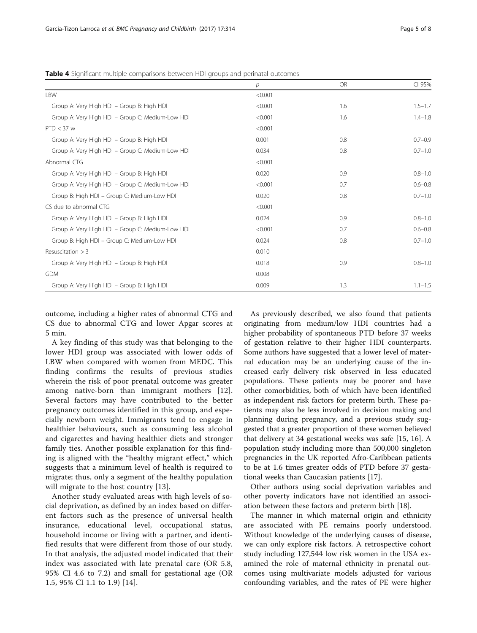<span id="page-4-0"></span>Table 4 Significant multiple comparisons between HDI groups and perinatal outcomes

|                                                  | р       | <b>OR</b> | CI 95%      |
|--------------------------------------------------|---------|-----------|-------------|
| LBW                                              | < 0.001 |           |             |
| Group A: Very High HDI - Group B: High HDI       | < 0.001 | 1.6       | $1.5 - 1.7$ |
| Group A: Very High HDI - Group C: Medium-Low HDI | < 0.001 | 1.6       | $1.4 - 1.8$ |
| $PTD < 37$ w                                     | < 0.001 |           |             |
| Group A: Very High HDI - Group B: High HDI       | 0.001   | 0.8       | $0.7 - 0.9$ |
| Group A: Very High HDI - Group C: Medium-Low HDI | 0.034   | 0.8       | $0.7 - 1.0$ |
| Abnormal CTG                                     | < 0.001 |           |             |
| Group A: Very High HDI - Group B: High HDI       | 0.020   | 0.9       | $0.8 - 1.0$ |
| Group A: Very High HDI - Group C: Medium-Low HDI | < 0.001 | 0.7       | $0.6 - 0.8$ |
| Group B: High HDI - Group C: Medium-Low HDI      | 0.020   | 0.8       | $0.7 - 1.0$ |
| CS due to abnormal CTG                           | < 0.001 |           |             |
| Group A: Very High HDI - Group B: High HDI       | 0.024   | 0.9       | $0.8 - 1.0$ |
| Group A: Very High HDI - Group C: Medium-Low HDI | < 0.001 | 0.7       | $0.6 - 0.8$ |
| Group B: High HDI - Group C: Medium-Low HDI      | 0.024   | 0.8       | $0.7 - 1.0$ |
| Resuscitation $>$ 3                              | 0.010   |           |             |
| Group A: Very High HDI - Group B: High HDI       | 0.018   | 0.9       | $0.8 - 1.0$ |
| <b>GDM</b>                                       | 0.008   |           |             |
| Group A: Very High HDI - Group B: High HDI       | 0.009   | 1.3       | $1.1 - 1.5$ |

outcome, including a higher rates of abnormal CTG and CS due to abnormal CTG and lower Apgar scores at 5 min.

A key finding of this study was that belonging to the lower HDI group was associated with lower odds of LBW when compared with women from MEDC. This finding confirms the results of previous studies wherein the risk of poor prenatal outcome was greater among native-born than immigrant mothers [[12](#page-6-0)]. Several factors may have contributed to the better pregnancy outcomes identified in this group, and especially newborn weight. Immigrants tend to engage in healthier behaviours, such as consuming less alcohol and cigarettes and having healthier diets and stronger family ties. Another possible explanation for this finding is aligned with the "healthy migrant effect," which suggests that a minimum level of health is required to migrate; thus, only a segment of the healthy population will migrate to the host country [\[13](#page-7-0)].

Another study evaluated areas with high levels of social deprivation, as defined by an index based on different factors such as the presence of universal health insurance, educational level, occupational status, household income or living with a partner, and identified results that were different from those of our study. In that analysis, the adjusted model indicated that their index was associated with late prenatal care (OR 5.8, 95% CI 4.6 to 7.2) and small for gestational age (OR 1.5, 95% CI 1.1 to 1.9) [\[14\]](#page-7-0).

As previously described, we also found that patients originating from medium/low HDI countries had a higher probability of spontaneous PTD before 37 weeks of gestation relative to their higher HDI counterparts. Some authors have suggested that a lower level of maternal education may be an underlying cause of the increased early delivery risk observed in less educated populations. These patients may be poorer and have other comorbidities, both of which have been identified as independent risk factors for preterm birth. These patients may also be less involved in decision making and planning during pregnancy, and a previous study suggested that a greater proportion of these women believed that delivery at 34 gestational weeks was safe [[15, 16](#page-7-0)]. A population study including more than 500,000 singleton pregnancies in the UK reported Afro-Caribbean patients to be at 1.6 times greater odds of PTD before 37 gestational weeks than Caucasian patients [\[17\]](#page-7-0).

Other authors using social deprivation variables and other poverty indicators have not identified an association between these factors and preterm birth [[18\]](#page-7-0).

The manner in which maternal origin and ethnicity are associated with PE remains poorly understood. Without knowledge of the underlying causes of disease, we can only explore risk factors. A retrospective cohort study including 127,544 low risk women in the USA examined the role of maternal ethnicity in prenatal outcomes using multivariate models adjusted for various confounding variables, and the rates of PE were higher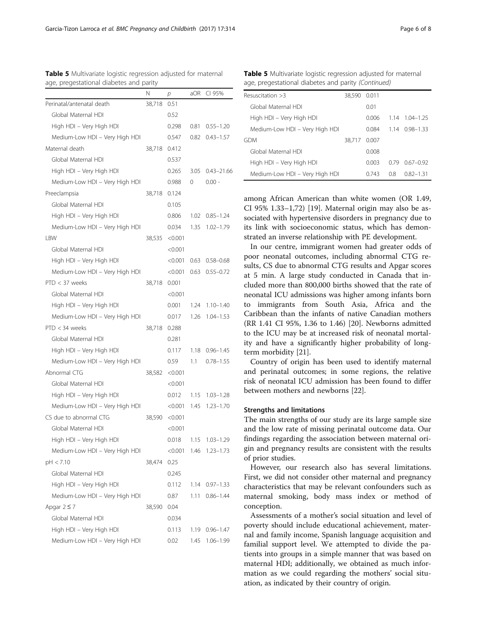| age, pregestational alabetes and | Ν      | р       | aOR  | CI 95%         |
|----------------------------------|--------|---------|------|----------------|
| Perinatal/antenatal death        | 38,718 | 0.51    |      |                |
| Global Maternal HDI              |        | 0.52    |      |                |
| High HDI - Very High HDI         |        | 0.298   | 0.81 | $0.55 - 1.20$  |
| Medium-Low HDI - Very High HDI   |        | 0.547   | 0.82 | $0.43 - 1.57$  |
| Maternal death                   | 38,718 | 0.412   |      |                |
| Global Maternal HDI              |        | 0.537   |      |                |
| High HDI - Very High HDI         |        | 0.265   | 3.05 | $0.43 - 21.66$ |
| Medium-Low HDI - Very High HDI   |        | 0.988   | 0    | $0.00 -$       |
| Preeclampsia                     | 38,718 | 0.124   |      |                |
| Global Maternal HDI              |        | 0.105   |      |                |
| High HDI - Very High HDI         |        | 0.806   | 1.02 | $0.85 - 1.24$  |
| Medium-Low HDI - Very High HDI   |        | 0.034   | 1.35 | $1.02 - 1.79$  |
| <b>LBW</b>                       | 38,535 | < 0.001 |      |                |
| Global Maternal HDI              |        | < 0.001 |      |                |
| High HDI - Very High HDI         |        | < 0.001 | 0.63 | $0.58 - 0.68$  |
| Medium-Low HDI - Very High HDI   |        | < 0.001 | 0.63 | $0.55 - 0.72$  |
| $PTD < 37$ weeks                 | 38,718 | 0.001   |      |                |
| Global Maternal HDI              |        | < 0.001 |      |                |
| High HDI - Very High HDI         |        | 0.001   | 1.24 | $1.10 - 1.40$  |
| Medium-Low HDI - Very High HDI   |        | 0.017   | 1.26 | $1.04 - 1.53$  |
| $PTD < 34$ weeks                 | 38,718 | 0.288   |      |                |
| Global Maternal HDI              |        | 0.281   |      |                |
| High HDI - Very High HDI         |        | 0.117   | 1.18 | $0.96 - 1.45$  |
| Medium-Low HDI - Very High HDI   |        | 0.59    | 1.1  | $0.78 - 1.55$  |
| Abnormal CTG                     | 38,582 | < 0.001 |      |                |
| Global Maternal HDI              |        | < 0.001 |      |                |
| High HDI – Very High HDI         |        | 0.012   | 1.15 | $1.03 - 1.28$  |
| Medium-Low HDI - Very High HDI   |        | < 0.001 | 1.45 | $1.23 - 1.70$  |
| CS due to abnormal CTG           | 38,590 | < 0.001 |      |                |
| Global Maternal HDI              |        | < 0.001 |      |                |
| High HDI – Very High HDI         |        | 0.018   | 1.15 | $1.03 - 1.29$  |
| Medium-Low HDI - Very High HDI   |        | < 0.001 | 1.46 | $1.23 - 1.73$  |
| pH < 7.10                        | 38,474 | 0.25    |      |                |
| Global Maternal HDI              |        | 0.245   |      |                |
| High HDI - Very High HDI         |        | 0.112   | 1.14 | $0.97 - 1.33$  |
| Medium-Low HDI - Very High HDI   |        | 0.87    | 1.11 | $0.86 - 1.44$  |
| Apgar $2 \leq 7$                 | 38,590 | 0.04    |      |                |
| Global Maternal HDI              |        | 0.034   |      |                |
| High HDI - Very High HDI         |        | 0.113   | 1.19 | $0.96 - 1.47$  |
| Medium-Low HDI - Very High HDI   |        | 0.02    | 1.45 | 1.06–1.99      |

<span id="page-5-0"></span>Table 5 Multivariate logistic regression adjusted for maternal age, pregestational diabetes and parity

Table 5 Multivariate logistic regression adjusted for maternal age, pregestational diabetes and parity (Continued)

| Resuscitation $>3$             | 38.590 | 0.011 |       |               |  |
|--------------------------------|--------|-------|-------|---------------|--|
| Global Maternal HDI            |        | 0.01  |       |               |  |
| High HDI - Very High HDI       |        | 0.006 | 1 1 4 | $1.04 - 1.25$ |  |
| Medium-Low HDI - Very High HDI |        | 0.084 | 1 1 4 | 0.98-1.33     |  |
| GDM                            | 38.717 | 0.007 |       |               |  |
| Global Maternal HDI            |        | 0.008 |       |               |  |
| High HDI - Very High HDI       |        | 0.003 | 0.79  | $067 - 092$   |  |
| Medium-Low HDI - Very High HDI |        | 0.743 | 0.8   | $0.82 - 1.31$ |  |

among African American than white women (OR 1.49, CI 95% 1.33–1,72) [[19](#page-7-0)]. Maternal origin may also be associated with hypertensive disorders in pregnancy due to its link with socioeconomic status, which has demonstrated an inverse relationship with PE development.

In our centre, immigrant women had greater odds of poor neonatal outcomes, including abnormal CTG results, CS due to abnormal CTG results and Apgar scores at 5 min. A large study conducted in Canada that included more than 800,000 births showed that the rate of neonatal ICU admissions was higher among infants born to immigrants from South Asia, Africa and the Caribbean than the infants of native Canadian mothers (RR 1.41 CI 95%, 1.36 to 1.46) [\[20](#page-7-0)]. Newborns admitted to the ICU may be at increased risk of neonatal mortality and have a significantly higher probability of longterm morbidity [\[21](#page-7-0)].

Country of origin has been used to identify maternal and perinatal outcomes; in some regions, the relative risk of neonatal ICU admission has been found to differ between mothers and newborns [[22\]](#page-7-0).

#### Strengths and limitations

The main strengths of our study are its large sample size and the low rate of missing perinatal outcome data. Our findings regarding the association between maternal origin and pregnancy results are consistent with the results of prior studies.

However, our research also has several limitations. First, we did not consider other maternal and pregnancy characteristics that may be relevant confounders such as maternal smoking, body mass index or method of conception.

Assessments of a mother's social situation and level of poverty should include educational achievement, maternal and family income, Spanish language acquisition and familial support level. We attempted to divide the patients into groups in a simple manner that was based on maternal HDI; additionally, we obtained as much information as we could regarding the mothers' social situation, as indicated by their country of origin.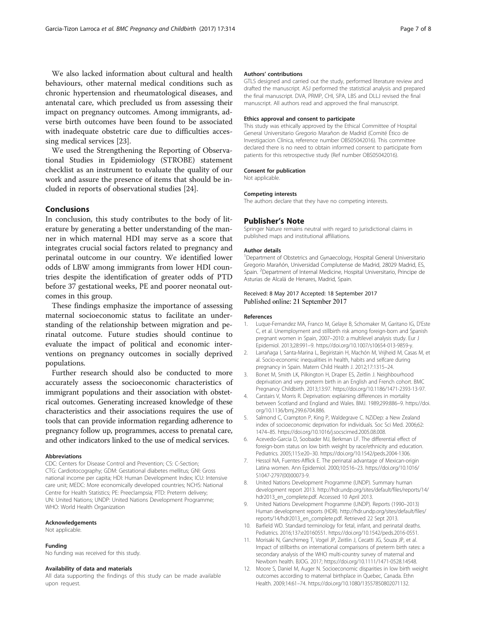<span id="page-6-0"></span>We also lacked information about cultural and health behaviours, other maternal medical conditions such as chronic hypertension and rheumatological diseases, and antenatal care, which precluded us from assessing their impact on pregnancy outcomes. Among immigrants, adverse birth outcomes have been found to be associated with inadequate obstetric care due to difficulties accessing medical services [[23](#page-7-0)].

We used the Strengthening the Reporting of Observational Studies in Epidemiology (STROBE) statement checklist as an instrument to evaluate the quality of our work and assure the presence of items that should be included in reports of observational studies [\[24](#page-7-0)].

### Conclusions

In conclusion, this study contributes to the body of literature by generating a better understanding of the manner in which maternal HDI may serve as a score that integrates crucial social factors related to pregnancy and perinatal outcome in our country. We identified lower odds of LBW among immigrants from lower HDI countries despite the identification of greater odds of PTD before 37 gestational weeks, PE and poorer neonatal outcomes in this group.

These findings emphasize the importance of assessing maternal socioeconomic status to facilitate an understanding of the relationship between migration and perinatal outcome. Future studies should continue to evaluate the impact of political and economic interventions on pregnancy outcomes in socially deprived populations.

Further research should also be conducted to more accurately assess the socioeconomic characteristics of immigrant populations and their association with obstetrical outcomes. Generating increased knowledge of these characteristics and their associations requires the use of tools that can provide information regarding adherence to pregnancy follow up, programmes, access to prenatal care, and other indicators linked to the use of medical services.

#### **Abbreviations**

CDC: Centers for Disease Control and Prevention; CS: C-Section; CTG: Cardiotocography; GDM: Gestational diabetes mellitus; GNI: Gross national income per capita; HDI: Human Development Index; ICU: Intensive care unit; MEDC: More economically developed countries; NCHS: National Centre for Health Statistics; PE: Preeclampsia; PTD: Preterm delivery; UN: United Nations; UNDP: United Nations Development Programme; WHO: World Health Organization

#### Acknowledgements

Not applicable.

#### Funding

No funding was received for this study.

#### Availability of data and materials

All data supporting the findings of this study can be made available upon request.

#### Authors' contributions

GTLS designed and carried out the study, performed literature review and drafted the manuscript. ASJ performed the statistical analysis and prepared the final manuscript. DVA, PRMP, CHI, SPA, LBS and DLLJ revised the final manuscript. All authors read and approved the final manuscript.

#### Ethics approval and consent to participate

This study was ethically approved by the Ethical Committee of Hospital General Universitario Gregorio Marañon de Madrid (Comité Ético de Investigacion Clínica, reference number OBS05042016). This committee declared there is no need to obtain informed consent to participate from patients for this retrospective study (Ref number OBS05042016).

#### Consent for publication

Not applicable.

#### Competing interests

The authors declare that they have no competing interests.

#### Publisher's Note

Springer Nature remains neutral with regard to jurisdictional claims in published maps and institutional affiliations.

#### Author details

<sup>1</sup>Department of Obstetrics and Gynaecology, Hospital General Universitario Gregorio Marañón, Universidad Complutense de Madrid, 28029 Madrid, ES, Spain. <sup>2</sup>Department of Internal Medicine, Hospital Universitario, Principe de Asturias de Alcalá de Henares, Madrid, Spain.

#### Received: 8 May 2017 Accepted: 18 September 2017 Published online: 21 September 2017

#### References

- 1. Luque-Fernandez MA, Franco M, Gelaye B, Schomaker M, Garitano IG, D'Este C, et al. Unemployment and stillbirth risk among foreign-born and Spanish pregnant women in Spain, 2007–2010: a multilevel analysis study. Eur J Epidemiol. 2013;28:991–9. [https://doi.org/10.1007/s10654-013-9859-y.](http://dx.doi.org/10.1007/s10654-013-9859-y)
- 2. Larrañaga I, Santa-Marina L, Begiristain H, Machón M, Vrijheid M, Casas M, et al. Socio-economic inequalities in health, habits and selfcare during pregnancy in Spain. Matern Child Health J. 2012;17:1315–24.
- 3. Bonet M, Smith LK, Pilkington H, Draper ES, Zeitlin J. Neighbourhood deprivation and very preterm birth in an English and French cohort. BMC Pregnancy Childbirth. 2013;13:97. [https://doi.org/10.1186/1471-2393-13-97](http://dx.doi.org/10.1186/1471-2393-13-97).
- 4. Carstairs V, Morris R. Deprivation: explaining differences in mortality between Scotland and England and Wales. BMJ. 1989;299:886–9. [https://doi.](http://dx.doi.org/10.1136/bmj.299.6704.886) [org/10.1136/bmj.299.6704.886.](http://dx.doi.org/10.1136/bmj.299.6704.886)
- 5. Salmond C, Crampton P, King P, Waldegrave C. NZiDep: a New Zealand index of socioeconomic deprivation for individuals. Soc Sci Med. 2006;62: 1474–85. [https://doi.org/10.1016/j.socscimed.2005.08.008.](http://dx.doi.org/10.1016/j.socscimed.2005.08.008)
- 6. Acevedo-Garcia D, Soobader MJ, Berkman LF. The differential effect of foreign-born status on low birth weight by race/ethnicity and education. Pediatrics. 2005;115:e20–30. [https://doi.org/10.1542/peds.2004-1306.](http://dx.doi.org/10.1542/peds.2004-1306)
- 7. Hessol NA, Fuentes-Afflick E. The perinatal advantage of Mexican-origin Latina women. Ann Epidemiol. 2000;10:516–23. [https://doi.org/10.1016/](http://dx.doi.org/10.1016/S1047-2797(00)00073-9) [S1047-2797\(00\)00073-9](http://dx.doi.org/10.1016/S1047-2797(00)00073-9).
- 8. United Nations Development Programme (UNDP). Summary human development report 2013. [http://hdr.undp.org/sites/default/files/reports/14/](http://hdr.undp.org/sites/default/files/reports/14/hdr2013_en_complete.pdf) [hdr2013\\_en\\_complete.pdf](http://hdr.undp.org/sites/default/files/reports/14/hdr2013_en_complete.pdf). Accessed 10 April 2013.
- 9. United Nations Development Programme (UNDP). Reports (1990–2013) Human development reports (HDR). [http://hdr.undp.org/sites/default/files/](http://hdr.undp.org/sites/default/files/reports/14/hdr2013_en_complete.pdf) [reports/14/hdr2013\\_en\\_complete.pdf.](http://hdr.undp.org/sites/default/files/reports/14/hdr2013_en_complete.pdf) Retrieved 22 Sept 2013.
- 10. Barfield WD. Standard terminology for fetal, infant, and perinatal deaths. Pediatrics. 2016;137:e20160551. [https://doi.org/10.1542/peds.2016-0551.](http://dx.doi.org/10.1542/peds.2016-0551)
- 11. Morisaki N, Ganchimeg T, Vogel JP, Zeitlin J, Cecatti JG, Souza JP, et al. Impact of stillbirths on international comparisons of preterm birth rates: a secondary analysis of the WHO multi-country survey of maternal and Newborn health. BJOG. 2017; [https://doi.org/10.1111/1471-0528.14548.](http://dx.doi.org/10.1111/1471-0528.14548)
- 12. Moore S, Daniel M, Auger N. Socioeconomic disparities in low birth weight outcomes according to maternal birthplace in Quebec, Canada. Ethn Health. 2009;14:61–74. [https://doi.org/10.1080/13557850802071132](http://dx.doi.org/10.1080/13557850802071132).